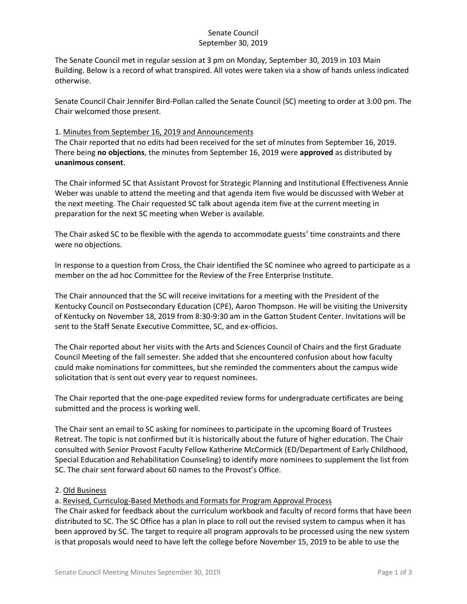## Senate Council September 30, 2019

The Senate Council met in regular session at 3 pm on Monday, September 30, 2019 in 103 Main Building. Below is a record of what transpired. All votes were taken via a show of hands unless indicated otherwise.

Senate Council Chair Jennifer Bird-Pollan called the Senate Council (SC) meeting to order at 3:00 pm. The Chair welcomed those present.

## 1. Minutes from September 16, 2019 and Announcements

The Chair reported that no edits had been received for the set of minutes from September 16, 2019. There being **no objections**, the minutes from September 16, 2019 were **approved** as distributed by **unanimous consent**.

The Chair informed SC that Assistant Provost for Strategic Planning and Institutional Effectiveness Annie Weber was unable to attend the meeting and that agenda item five would be discussed with Weber at the next meeting. The Chair requested SC talk about agenda item five at the current meeting in preparation for the next SC meeting when Weber is available.

The Chair asked SC to be flexible with the agenda to accommodate guests' time constraints and there were no objections.

In response to a question from Cross, the Chair identified the SC nominee who agreed to participate as a member on the ad hoc Committee for the Review of the Free Enterprise Institute.

The Chair announced that the SC will receive invitations for a meeting with the President of the Kentucky Council on Postsecondary Education (CPE), Aaron Thompson. He will be visiting the University of Kentucky on November 18, 2019 from 8:30-9:30 am in the Gatton Student Center. Invitations will be sent to the Staff Senate Executive Committee, SC, and ex-officios.

The Chair reported about her visits with the Arts and Sciences Council of Chairs and the first Graduate Council Meeting of the fall semester. She added that she encountered confusion about how faculty could make nominations for committees, but she reminded the commenters about the campus wide solicitation that is sent out every year to request nominees.

The Chair reported that the one-page expedited review forms for undergraduate certificates are being submitted and the process is working well.

The Chair sent an email to SC asking for nominees to participate in the upcoming Board of Trustees Retreat. The topic is not confirmed but it is historically about the future of higher education. The Chair consulted with Senior Provost Faculty Fellow Katherine McCormick (ED/Department of Early Childhood, Special Education and Rehabilitation Counseling) to identify more nominees to supplement the list from SC. The chair sent forward about 60 names to the Provost's Office.

### 2. Old Business

a. Revised, Curriculog-Based Methods and Formats for Program Approval Process

The Chair asked for feedback about the curriculum workbook and faculty of record forms that have been distributed to SC. The SC Office has a plan in place to roll out the revised system to campus when it has been approved by SC. The target to require all program approvals to be processed using the new system is that proposals would need to have left the college before November 15, 2019 to be able to use the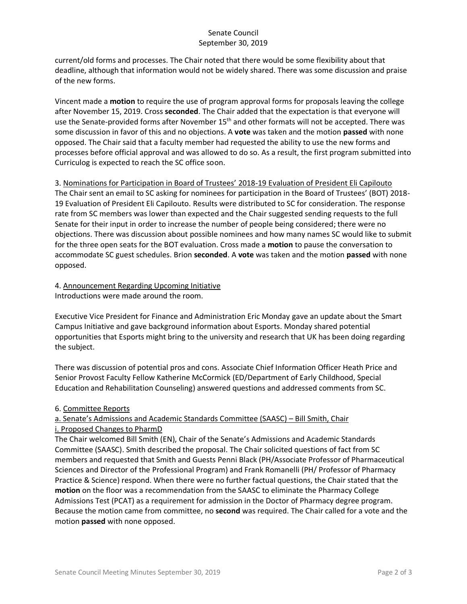# Senate Council September 30, 2019

current/old forms and processes. The Chair noted that there would be some flexibility about that deadline, although that information would not be widely shared. There was some discussion and praise of the new forms.

Vincent made a **motion** to require the use of program approval forms for proposals leaving the college after November 15, 2019. Cross **seconded**. The Chair added that the expectation is that everyone will use the Senate-provided forms after November 15<sup>th</sup> and other formats will not be accepted. There was some discussion in favor of this and no objections. A **vote** was taken and the motion **passed** with none opposed. The Chair said that a faculty member had requested the ability to use the new forms and processes before official approval and was allowed to do so. As a result, the first program submitted into Curriculog is expected to reach the SC office soon.

3. Nominations for Participation in Board of Trustees' 2018-19 Evaluation of President Eli Capilouto The Chair sent an email to SC asking for nominees for participation in the Board of Trustees' (BOT) 2018- 19 Evaluation of President Eli Capilouto. Results were distributed to SC for consideration. The response rate from SC members was lower than expected and the Chair suggested sending requests to the full Senate for their input in order to increase the number of people being considered; there were no objections. There was discussion about possible nominees and how many names SC would like to submit for the three open seats for the BOT evaluation. Cross made a **motion** to pause the conversation to accommodate SC guest schedules. Brion **seconded**. A **vote** was taken and the motion **passed** with none opposed.

#### 4. Announcement Regarding Upcoming Initiative Introductions were made around the room.

Executive Vice President for Finance and Administration Eric Monday gave an update about the Smart Campus Initiative and gave background information about Esports. Monday shared potential opportunities that Esports might bring to the university and research that UK has been doing regarding the subject.

There was discussion of potential pros and cons. Associate Chief Information Officer Heath Price and Senior Provost Faculty Fellow Katherine McCormick (ED/Department of Early Childhood, Special Education and Rehabilitation Counseling) answered questions and addressed comments from SC.

# 6. Committee Reports

# a. Senate's Admissions and Academic Standards Committee (SAASC) – Bill Smith, Chair i. Proposed Changes to PharmD

The Chair welcomed Bill Smith (EN), Chair of the Senate's Admissions and Academic Standards Committee (SAASC). Smith described the proposal. The Chair solicited questions of fact from SC members and requested that Smith and Guests Penni Black (PH/Associate Professor of Pharmaceutical Sciences and Director of the Professional Program) and Frank Romanelli (PH/ Professor of Pharmacy Practice & Science) respond. When there were no further factual questions, the Chair stated that the **motion** on the floor was a recommendation from the SAASC to eliminate the Pharmacy College Admissions Test (PCAT) as a requirement for admission in the Doctor of Pharmacy degree program. Because the motion came from committee, no **second** was required. The Chair called for a vote and the motion **passed** with none opposed.